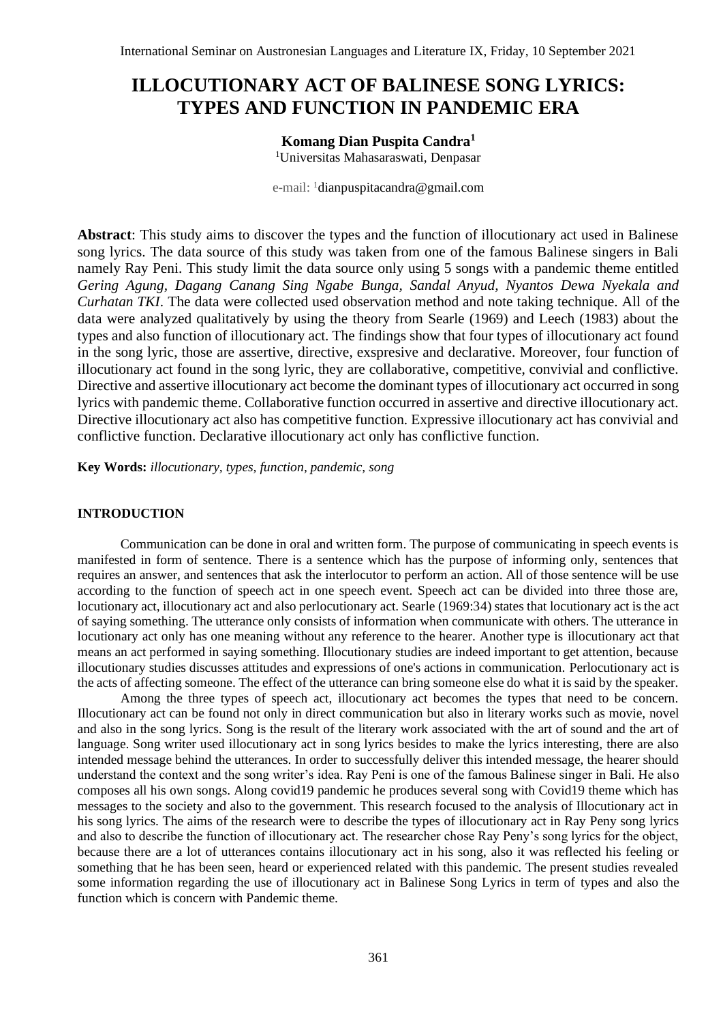# **ILLOCUTIONARY ACT OF BALINESE SONG LYRICS: TYPES AND FUNCTION IN PANDEMIC ERA**

# **Komang Dian Puspita Candra<sup>1</sup>**

<sup>1</sup>Universitas Mahasaraswati, Denpasar

e-mail: <sup>1</sup>[dianpuspitacandra@gmail.com](mailto:dianpuspitacandra@gmail.com)

**Abstract**: This study aims to discover the types and the function of illocutionary act used in Balinese song lyrics. The data source of this study was taken from one of the famous Balinese singers in Bali namely Ray Peni. This study limit the data source only using 5 songs with a pandemic theme entitled *Gering Agung, Dagang Canang Sing Ngabe Bunga, Sandal Anyud, Nyantos Dewa Nyekala and Curhatan TKI*. The data were collected used observation method and note taking technique. All of the data were analyzed qualitatively by using the theory from Searle (1969) and Leech (1983) about the types and also function of illocutionary act. The findings show that four types of illocutionary act found in the song lyric, those are assertive, directive, exspresive and declarative. Moreover, four function of illocutionary act found in the song lyric, they are collaborative, competitive, convivial and conflictive. Directive and assertive illocutionary act become the dominant types of illocutionary act occurred in song lyrics with pandemic theme. Collaborative function occurred in assertive and directive illocutionary act. Directive illocutionary act also has competitive function. Expressive illocutionary act has convivial and conflictive function. Declarative illocutionary act only has conflictive function.

**Key Words:** *illocutionary, types, function, pandemic, song*

## **INTRODUCTION**

Communication can be done in oral and written form. The purpose of communicating in speech events is manifested in form of sentence. There is a sentence which has the purpose of informing only, sentences that requires an answer, and sentences that ask the interlocutor to perform an action. All of those sentence will be use according to the function of speech act in one speech event. Speech act can be divided into three those are, locutionary act, illocutionary act and also perlocutionary act. Searle (1969:34) states that locutionary act is the act of saying something. The utterance only consists of information when communicate with others. The utterance in locutionary act only has one meaning without any reference to the hearer. Another type is illocutionary act that means an act performed in saying something. Illocutionary studies are indeed important to get attention, because illocutionary studies discusses attitudes and expressions of one's actions in communication. Perlocutionary act is the acts of affecting someone. The effect of the utterance can bring someone else do what it is said by the speaker.

Among the three types of speech act, illocutionary act becomes the types that need to be concern. Illocutionary act can be found not only in direct communication but also in literary works such as movie, novel and also in the song lyrics. Song is the result of the literary work associated with the art of sound and the art of language. Song writer used illocutionary act in song lyrics besides to make the lyrics interesting, there are also intended message behind the utterances. In order to successfully deliver this intended message, the hearer should understand the context and the song writer's idea. Ray Peni is one of the famous Balinese singer in Bali. He also composes all his own songs. Along covid19 pandemic he produces several song with Covid19 theme which has messages to the society and also to the government. This research focused to the analysis of Illocutionary act in his song lyrics. The aims of the research were to describe the types of illocutionary act in Ray Peny song lyrics and also to describe the function of illocutionary act. The researcher chose Ray Peny's song lyrics for the object, because there are a lot of utterances contains illocutionary act in his song, also it was reflected his feeling or something that he has been seen, heard or experienced related with this pandemic. The present studies revealed some information regarding the use of illocutionary act in Balinese Song Lyrics in term of types and also the function which is concern with Pandemic theme.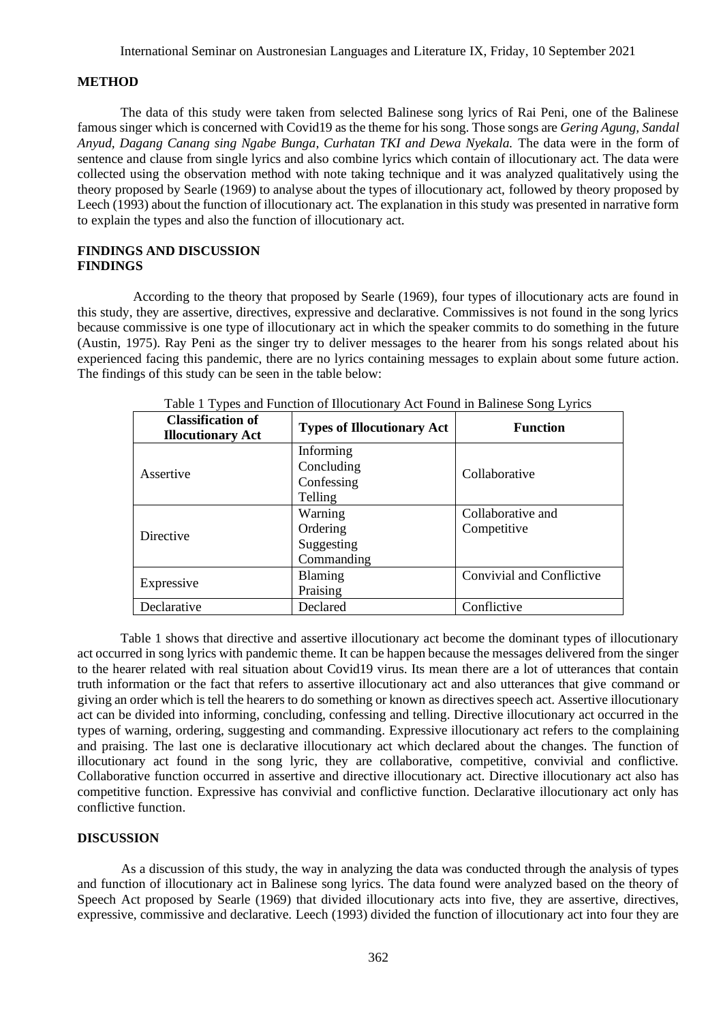#### **METHOD**

The data of this study were taken from selected Balinese song lyrics of Rai Peni, one of the Balinese famous singer which is concerned with Covid19 as the theme for his song. Those songs are *Gering Agung, Sandal Anyud, Dagang Canang sing Ngabe Bunga, Curhatan TKI and Dewa Nyekala.* The data were in the form of sentence and clause from single lyrics and also combine lyrics which contain of illocutionary act. The data were collected using the observation method with note taking technique and it was analyzed qualitatively using the theory proposed by Searle (1969) to analyse about the types of illocutionary act, followed by theory proposed by Leech (1993) about the function of illocutionary act. The explanation in this study was presented in narrative form to explain the types and also the function of illocutionary act.

## **FINDINGS AND DISCUSSION FINDINGS**

According to the theory that proposed by Searle (1969), four types of illocutionary acts are found in this study, they are assertive, directives, expressive and declarative. Commissives is not found in the song lyrics because commissive is one type of illocutionary act in which the speaker commits to do something in the future (Austin, 1975). Ray Peni as the singer try to deliver messages to the hearer from his songs related about his experienced facing this pandemic, there are no lyrics containing messages to explain about some future action. The findings of this study can be seen in the table below:

| <b>Classification of</b><br><b>Illocutionary Act</b> | <b>Types of Illocutionary Act</b>                | <b>Function</b>                  |
|------------------------------------------------------|--------------------------------------------------|----------------------------------|
| Assertive                                            | Informing<br>Concluding<br>Confessing<br>Telling | Collaborative                    |
| Directive                                            | Warning<br>Ordering<br>Suggesting<br>Commanding  | Collaborative and<br>Competitive |
| Expressive                                           | <b>Blaming</b><br>Praising                       | Convivial and Conflictive        |
| Declarative                                          | Declared                                         | Conflictive                      |

Table 1 Types and Function of Illocutionary Act Found in Balinese Song Lyrics

Table 1 shows that directive and assertive illocutionary act become the dominant types of illocutionary act occurred in song lyrics with pandemic theme. It can be happen because the messages delivered from the singer to the hearer related with real situation about Covid19 virus. Its mean there are a lot of utterances that contain truth information or the fact that refers to assertive illocutionary act and also utterances that give command or giving an order which is tell the hearers to do something or known as directives speech act. Assertive illocutionary act can be divided into informing, concluding, confessing and telling. Directive illocutionary act occurred in the types of warning, ordering, suggesting and commanding. Expressive illocutionary act refers to the complaining and praising. The last one is declarative illocutionary act which declared about the changes. The function of illocutionary act found in the song lyric, they are collaborative, competitive, convivial and conflictive. Collaborative function occurred in assertive and directive illocutionary act. Directive illocutionary act also has competitive function. Expressive has convivial and conflictive function. Declarative illocutionary act only has conflictive function.

# **DISCUSSION**

As a discussion of this study, the way in analyzing the data was conducted through the analysis of types and function of illocutionary act in Balinese song lyrics. The data found were analyzed based on the theory of Speech Act proposed by Searle (1969) that divided illocutionary acts into five, they are assertive, directives, expressive, commissive and declarative. Leech (1993) divided the function of illocutionary act into four they are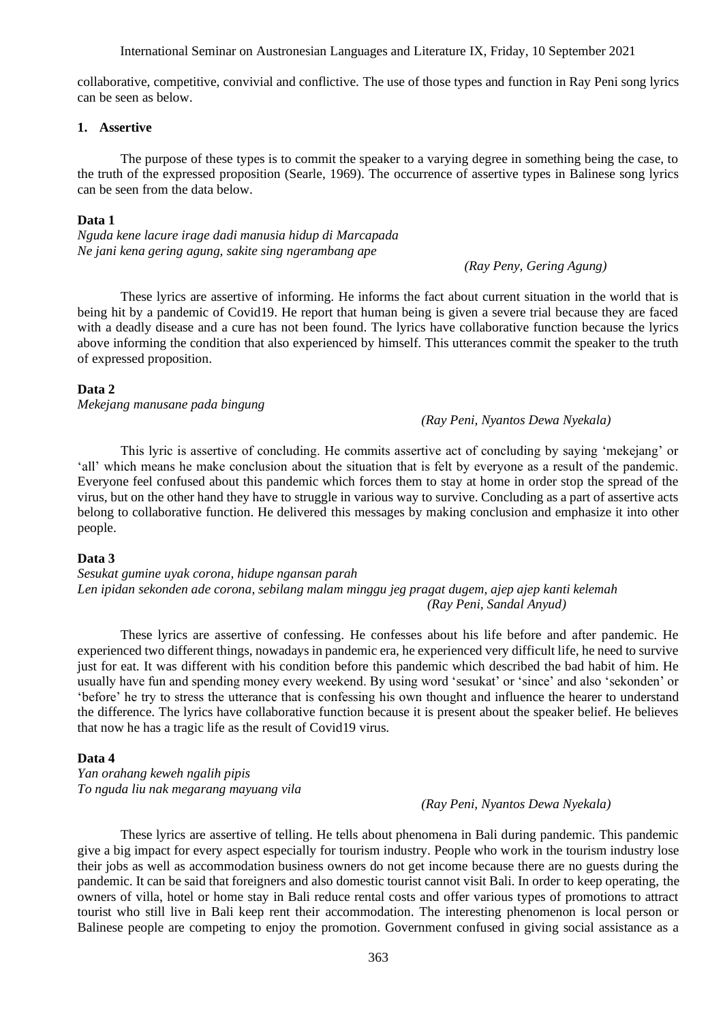collaborative, competitive, convivial and conflictive. The use of those types and function in Ray Peni song lyrics can be seen as below.

## **1. Assertive**

The purpose of these types is to commit the speaker to a varying degree in something being the case, to the truth of the expressed proposition (Searle, 1969). The occurrence of assertive types in Balinese song lyrics can be seen from the data below.

#### **Data 1**

*Nguda kene lacure irage dadi manusia hidup di Marcapada Ne jani kena gering agung, sakite sing ngerambang ape*

*(Ray Peny, Gering Agung)*

These lyrics are assertive of informing. He informs the fact about current situation in the world that is being hit by a pandemic of Covid19. He report that human being is given a severe trial because they are faced with a deadly disease and a cure has not been found. The lyrics have collaborative function because the lyrics above informing the condition that also experienced by himself. This utterances commit the speaker to the truth of expressed proposition.

#### **Data 2**

*Mekejang manusane pada bingung*

# *(Ray Peni, Nyantos Dewa Nyekala)*

This lyric is assertive of concluding. He commits assertive act of concluding by saying 'mekejang' or 'all' which means he make conclusion about the situation that is felt by everyone as a result of the pandemic. Everyone feel confused about this pandemic which forces them to stay at home in order stop the spread of the virus, but on the other hand they have to struggle in various way to survive. Concluding as a part of assertive acts belong to collaborative function. He delivered this messages by making conclusion and emphasize it into other people.

#### **Data 3**

*Sesukat gumine uyak corona, hidupe ngansan parah Len ipidan sekonden ade corona, sebilang malam minggu jeg pragat dugem, ajep ajep kanti kelemah (Ray Peni, Sandal Anyud)*

These lyrics are assertive of confessing. He confesses about his life before and after pandemic. He experienced two different things, nowadays in pandemic era, he experienced very difficult life, he need to survive just for eat. It was different with his condition before this pandemic which described the bad habit of him. He usually have fun and spending money every weekend. By using word 'sesukat' or 'since' and also 'sekonden' or 'before' he try to stress the utterance that is confessing his own thought and influence the hearer to understand the difference. The lyrics have collaborative function because it is present about the speaker belief. He believes that now he has a tragic life as the result of Covid19 virus.

#### **Data 4**

*Yan orahang keweh ngalih pipis To nguda liu nak megarang mayuang vila*

*(Ray Peni, Nyantos Dewa Nyekala)*

These lyrics are assertive of telling. He tells about phenomena in Bali during pandemic. This pandemic give a big impact for every aspect especially for tourism industry. People who work in the tourism industry lose their jobs as well as accommodation business owners do not get income because there are no guests during the pandemic. It can be said that foreigners and also domestic tourist cannot visit Bali. In order to keep operating, the owners of villa, hotel or home stay in Bali reduce rental costs and offer various types of promotions to attract tourist who still live in Bali keep rent their accommodation. The interesting phenomenon is local person or Balinese people are competing to enjoy the promotion. Government confused in giving social assistance as a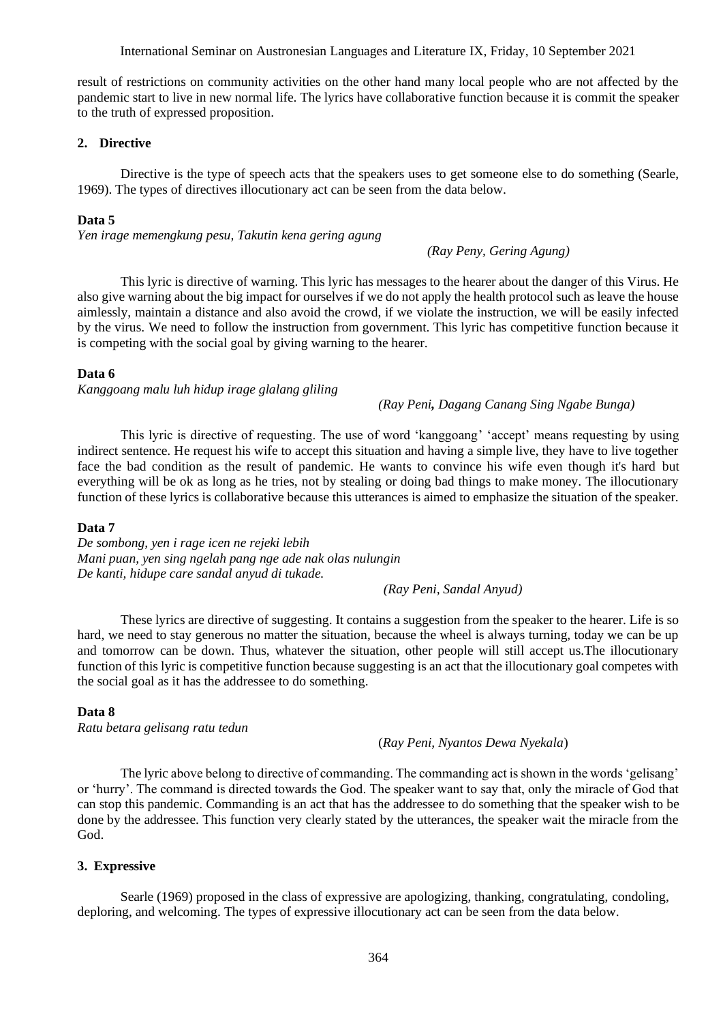International Seminar on Austronesian Languages and Literature IX, Friday, 10 September 2021

result of restrictions on community activities on the other hand many local people who are not affected by the pandemic start to live in new normal life. The lyrics have collaborative function because it is commit the speaker to the truth of expressed proposition.

# **2. Directive**

Directive is the type of speech acts that the speakers uses to get someone else to do something (Searle, 1969). The types of directives illocutionary act can be seen from the data below.

#### **Data 5**

*Yen irage memengkung pesu, Takutin kena gering agung* 

*(Ray Peny, Gering Agung)*

This lyric is directive of warning. This lyric has messages to the hearer about the danger of this Virus. He also give warning about the big impact for ourselves if we do not apply the health protocol such as leave the house aimlessly, maintain a distance and also avoid the crowd, if we violate the instruction, we will be easily infected by the virus. We need to follow the instruction from government. This lyric has competitive function because it is competing with the social goal by giving warning to the hearer.

#### **Data 6**

*Kanggoang malu luh hidup irage glalang gliling* 

*(Ray Peni, Dagang Canang Sing Ngabe Bunga)*

This lyric is directive of requesting. The use of word 'kanggoang' 'accept' means requesting by using indirect sentence. He request his wife to accept this situation and having a simple live, they have to live together face the bad condition as the result of pandemic. He wants to convince his wife even though it's hard but everything will be ok as long as he tries, not by stealing or doing bad things to make money. The illocutionary function of these lyrics is collaborative because this utterances is aimed to emphasize the situation of the speaker.

#### **Data 7**

*De sombong, yen i rage icen ne rejeki lebih Mani puan, yen sing ngelah pang nge ade nak olas nulungin De kanti, hidupe care sandal anyud di tukade.*

#### *(Ray Peni, Sandal Anyud)*

These lyrics are directive of suggesting. It contains a suggestion from the speaker to the hearer. Life is so hard, we need to stay generous no matter the situation, because the wheel is always turning, today we can be up and tomorrow can be down. Thus, whatever the situation, other people will still accept us.The illocutionary function of this lyric is competitive function because suggesting is an act that the illocutionary goal competes with the social goal as it has the addressee to do something.

## **Data 8**

*Ratu betara gelisang ratu tedun*

(*Ray Peni, Nyantos Dewa Nyekala*)

The lyric above belong to directive of commanding. The commanding act is shown in the words 'gelisang' or 'hurry'. The command is directed towards the God. The speaker want to say that, only the miracle of God that can stop this pandemic. Commanding is an act that has the addressee to do something that the speaker wish to be done by the addressee. This function very clearly stated by the utterances, the speaker wait the miracle from the God.

## **3. Expressive**

Searle (1969) proposed in the class of expressive are apologizing, thanking, congratulating, condoling, deploring, and welcoming. The types of expressive illocutionary act can be seen from the data below.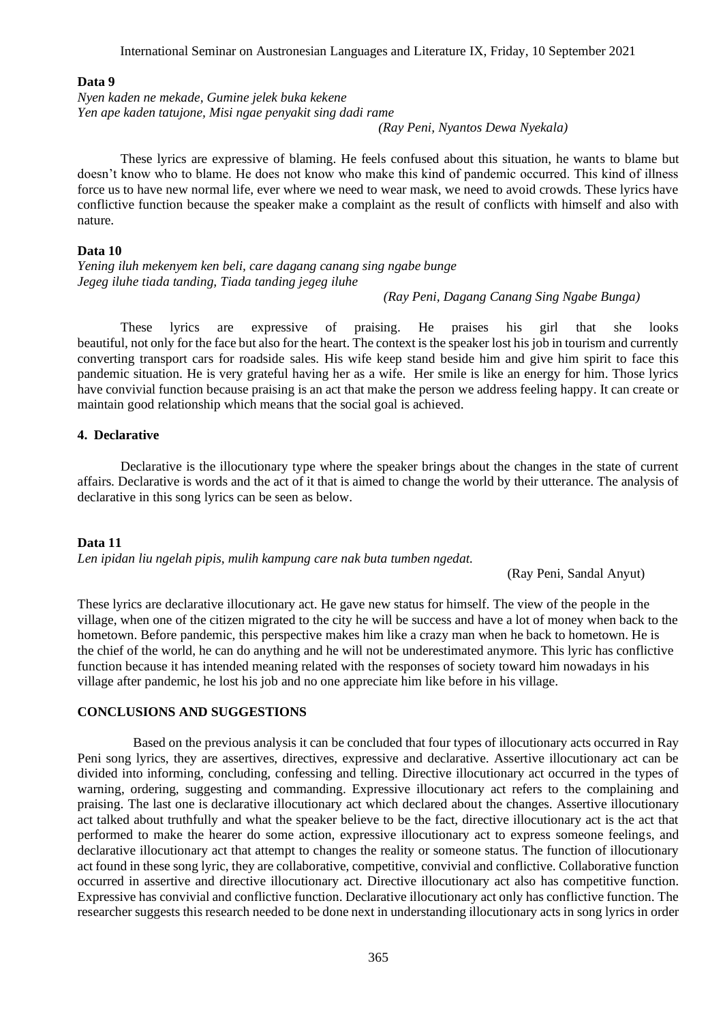#### **Data 9**

*Nyen kaden ne mekade, Gumine jelek buka kekene Yen ape kaden tatujone, Misi ngae penyakit sing dadi rame*

*(Ray Peni, Nyantos Dewa Nyekala)*

These lyrics are expressive of blaming. He feels confused about this situation, he wants to blame but doesn't know who to blame. He does not know who make this kind of pandemic occurred. This kind of illness force us to have new normal life, ever where we need to wear mask, we need to avoid crowds. These lyrics have conflictive function because the speaker make a complaint as the result of conflicts with himself and also with nature.

# **Data 10**

*Yening iluh mekenyem ken beli, care dagang canang sing ngabe bunge Jegeg iluhe tiada tanding, Tiada tanding jegeg iluhe*

*(Ray Peni, Dagang Canang Sing Ngabe Bunga)*

These lyrics are expressive of praising. He praises his girl that she looks beautiful, not only for the face but also for the heart. The context is the speaker lost his job in tourism and currently converting transport cars for roadside sales. His wife keep stand beside him and give him spirit to face this pandemic situation. He is very grateful having her as a wife. Her smile is like an energy for him. Those lyrics have convivial function because praising is an act that make the person we address feeling happy. It can create or maintain good relationship which means that the social goal is achieved.

# **4. Declarative**

Declarative is the illocutionary type where the speaker brings about the changes in the state of current affairs. Declarative is words and the act of it that is aimed to change the world by their utterance. The analysis of declarative in this song lyrics can be seen as below.

#### **Data 11**

*Len ipidan liu ngelah pipis, mulih kampung care nak buta tumben ngedat.*

(Ray Peni, Sandal Anyut)

These lyrics are declarative illocutionary act. He gave new status for himself. The view of the people in the village, when one of the citizen migrated to the city he will be success and have a lot of money when back to the hometown. Before pandemic, this perspective makes him like a crazy man when he back to hometown. He is the chief of the world, he can do anything and he will not be underestimated anymore. This lyric has conflictive function because it has intended meaning related with the responses of society toward him nowadays in his village after pandemic, he lost his job and no one appreciate him like before in his village.

## **CONCLUSIONS AND SUGGESTIONS**

Based on the previous analysis it can be concluded that four types of illocutionary acts occurred in Ray Peni song lyrics, they are assertives, directives, expressive and declarative. Assertive illocutionary act can be divided into informing, concluding, confessing and telling. Directive illocutionary act occurred in the types of warning, ordering, suggesting and commanding. Expressive illocutionary act refers to the complaining and praising. The last one is declarative illocutionary act which declared about the changes. Assertive illocutionary act talked about truthfully and what the speaker believe to be the fact, directive illocutionary act is the act that performed to make the hearer do some action, expressive illocutionary act to express someone feelings, and declarative illocutionary act that attempt to changes the reality or someone status. The function of illocutionary act found in these song lyric, they are collaborative, competitive, convivial and conflictive. Collaborative function occurred in assertive and directive illocutionary act. Directive illocutionary act also has competitive function. Expressive has convivial and conflictive function. Declarative illocutionary act only has conflictive function. The researcher suggests this research needed to be done next in understanding illocutionary acts in song lyrics in order